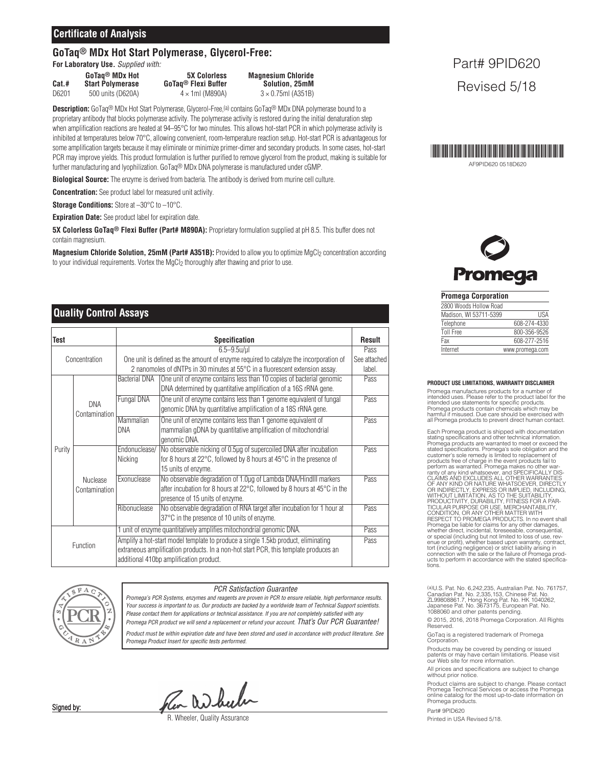## **Certificate of Analysis**

# **GoTaq® MDx Hot Start Polymerase, Glycerol-Free:**

**For Laboratory Use.** *Supplied with:*

**Cat.# Start Polymerase <b>GoTaq® Flexi Buffer**<br>D6201 500 units (D620A) 4 x 1ml (M890A)

 $D6201$  500 units (D620A)  $4 \times 1$ ml (M890A)  $3 \times 0.75$ ml (A351B)

**GoTaq® MDx Hot 5X Colorless Magnesium Chloride**

**Description:** GoTaq® MDx Hot Start Polymerase, Glycerol-Free,(a) contains GoTaq® MDx DNA polymerase bound to a proprietary antibody that blocks polymerase activity. The polymerase activity is restored during the initial denaturation step when amplification reactions are heated at 94–95°C for two minutes. This allows hot-start PCR in which polymerase activity is inhibited at temperatures below 70°C, allowing convenient, room-temperature reaction setup. Hot-start PCR is advantageous for some amplification targets because it may eliminate or minimize primer-dimer and secondary products. In some cases, hot-start PCR may improve yields. This product formulation is further purified to remove glycerol from the product, making is suitable for further manufacturing and lyophilization. GoTaq® MDx DNA polymerase is manufactured under cGMP.

**Biological Source:** The enzyme is derived from bacteria. The antibody is derived from murine cell culture.

**Concentration:** See product label for measured unit activity.

**Storage Conditions:** Store at –30°C to –10°C.

**Expiration Date:** See product label for expiration date.

**5X Colorless GoTaq® Flexi Buffer (Part# M890A):** Proprietary formulation supplied at pH 8.5. This buffer does not contain magnesium.

**Magnesium Chloride Solution, 25mM (Part# A351B):** Provided to allow you to optimize MgCl2 concentration according to your individual requirements. Vortex the MgCl<sub>2</sub> thoroughly after thawing and prior to use.

## **Quality Control Assays**

| <b>Test</b>   |                                  | <b>Specification</b>                                                                  |                                                                                              | <b>Result</b> |
|---------------|----------------------------------|---------------------------------------------------------------------------------------|----------------------------------------------------------------------------------------------|---------------|
| Concentration |                                  | $6.5 - 9.5$ u/µl                                                                      |                                                                                              | Pass          |
|               |                                  | One unit is defined as the amount of enzyme required to catalyze the incorporation of |                                                                                              | See attached  |
|               |                                  | 2 nanomoles of dNTPs in 30 minutes at 55°C in a fluorescent extension assay.          |                                                                                              |               |
| Purity        | <b>DNA</b><br>Contamination      | <b>Bacterial DNA</b>                                                                  | One unit of enzyme contains less than 10 copies of bacterial genomic                         | Pass          |
|               |                                  |                                                                                       | DNA determined by quantitative amplification of a 16S rRNA gene.                             |               |
|               |                                  | Fungal DNA                                                                            | One unit of enzyme contains less than 1 genome equivalent of fungal                          | Pass          |
|               |                                  |                                                                                       | genomic DNA by quantitative amplification of a 18S rRNA gene.                                |               |
|               |                                  | <b>Mammalian</b>                                                                      | One unit of enzyme contains less than 1 genome equivalent of                                 | Pass          |
|               |                                  | <b>DNA</b>                                                                            | mammalian gDNA by quantitative amplification of mitochondrial                                |               |
|               |                                  |                                                                                       | genomic DNA.                                                                                 |               |
|               | <b>Nuclease</b><br>Contamination | Endonuclease/                                                                         | No observable nicking of 0.5µg of supercoiled DNA after incubation                           | Pass          |
|               |                                  | Nicking                                                                               | for 8 hours at 22°C, followed by 8 hours at 45°C in the presence of                          |               |
|               |                                  |                                                                                       | 15 units of enzyme.                                                                          |               |
|               |                                  | Exonuclease                                                                           | No observable degradation of 1.0µg of Lambda DNA/HindIII markers                             | Pass          |
|               |                                  |                                                                                       | after incubation for 8 hours at $22^{\circ}$ C, followed by 8 hours at $45^{\circ}$ C in the |               |
|               |                                  |                                                                                       | presence of 15 units of enzyme.                                                              |               |
|               |                                  | Ribonuclease                                                                          | No observable degradation of RNA target after incubation for 1 hour at                       | Pass          |
|               |                                  |                                                                                       | 37°C in the presence of 10 units of enzyme.                                                  |               |
| Function      |                                  | 1 unit of enzyme quantitatively amplifies mitochondrial genomic DNA.                  |                                                                                              |               |
|               |                                  | Amplify a hot-start model template to produce a single 1.5kb product, eliminating     |                                                                                              |               |
|               |                                  | extraneous amplification products. In a non-hot start PCR, this template produces an  |                                                                                              |               |
|               |                                  | additional 410bp amplification product.                                               |                                                                                              |               |



#### *PCR Satisfaction Guarantee*

*Promega's PCR Systems, enzymes and reagents are proven in PCR to ensure reliable, high performance results.* Your success is important to us. Our products are backed by a worldwide team of Technical Support scientists. *Please contact them for applications or technical assistance. If you are not completely satisfied with any Promega PCR product we will send a replacement or refund your account. That's Our PCR Guarantee!* Product must be within expiration date and have been stored and used in accordance with product literature. See *Promega Product Insert for specific tests performed.*

Pen Wheeler

R. Wheeler, Quality Assurance

# Part# 9PID620 Revised 5/18



**Promega** 

#### **Promega Corporation**

|  | 2800 Woods Hollow Road |                 |
|--|------------------------|-----------------|
|  | Madison, WI 53711-5399 | lisa            |
|  | Telephone              | 608-274-4330    |
|  | <b>Toll Free</b>       | 800-356-9526    |
|  | Fax                    | 608-277-2516    |
|  | Internet               | www.promega.com |
|  |                        |                 |

#### **PRODUCT USE LIMITATIONS, WARRANTY DISCLAIMER**

Promega manufactures products for a number of intended uses. Please refer to the product label for the intended use statements for specific products. Promega products contain chemicals which may be harmful if misused. Due care should be exercised with all Promega products to prevent direct human contact.

Each Promega product is shipped with documentation stating specifications and other technical information. Promega products are warranted to meet or exceed the<br>stated specifications. Promega's sole obligation and the<br>customer's sole remedy is limited to replacement of<br>products free of charge in the event products fail to<br>perfor enue or profit), whether based upon warranty, contract,<br>tort (including negligence) or strict liability arising in<br>connection with the sale or the failure of Promega prod-<br>ucts to perform in accordance with the stated spec

(a)U.S. Pat. No. 6,242,235, Australian Pat. No. 761757,<br>Canadian Pat. No. 2,335,153, Chinese Pat. No.<br>ZL99808861.7, Hong Kong Pat. No. HK 1040262,<br>Japanese Pat. No. 3673175, European Pat. No.<br>1088060 and other patents pend

© 2015, 2016, 2018 Promega Corporation. All Rights **Reserved** 

GoTaq is a registered trademark of Promega Corporation.

Products may be covered by pending or issued patents or may have certain limitations. Please visit our Web site for more information.

All prices and specifications are subject to change without prior notice.

Product claims are subject to change. Please contact Promega Technical Services or access the Promega online catalog for the most up-to-date information on Promega products.

Part# 9PID620

Printed in USA Revised 5/18.

Signed by: